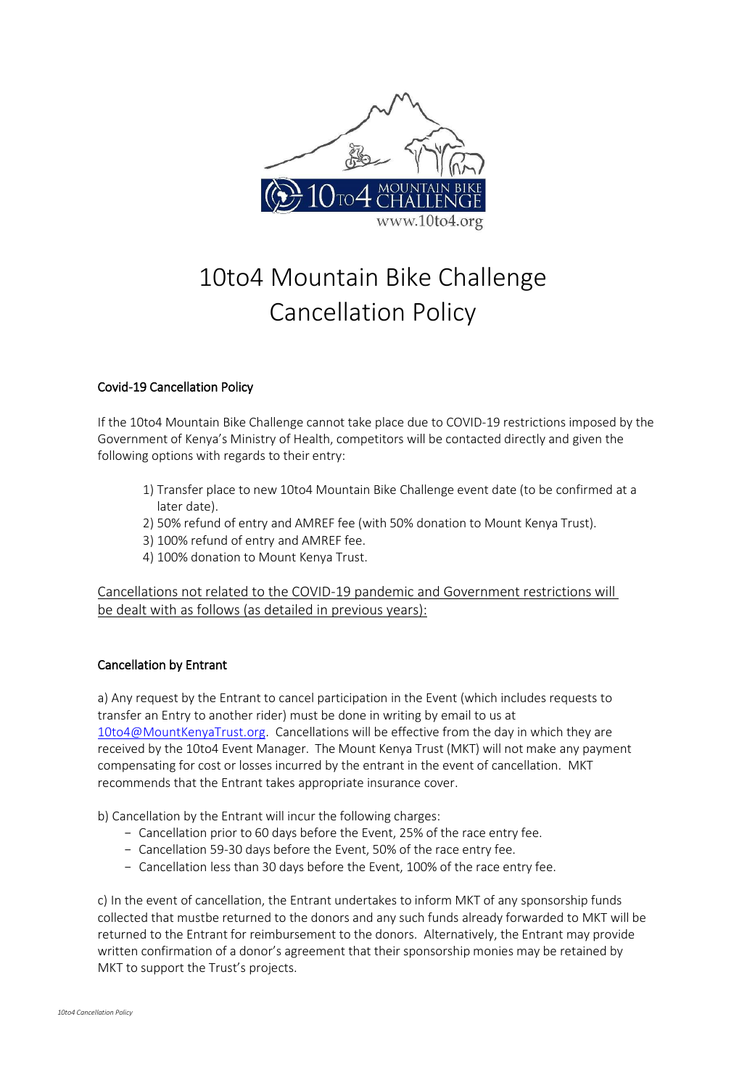

# 10to4 Mountain Bike Challenge Cancellation Policy

## Covid-19 Cancellation Policy

If the 10to4 Mountain Bike Challenge cannot take place due to COVID-19 restrictions imposed by the Government of Kenya's Ministry of Health, competitors will be contacted directly and given the following options with regards to their entry:

- 1) Transfer place to new 10to4 Mountain Bike Challenge event date (to be confirmed at a later date).
- 2) 50% refund of entry and AMREF fee (with 50% donation to Mount Kenya Trust).
- 3) 100% refund of entry and AMREF fee.
- 4) 100% donation to Mount Kenya Trust.

Cancellations not related to the COVID-19 pandemic and Government restrictions will be dealt with as follows (as detailed in previous years):

## Cancellation by Entrant

a) Any request by the Entrant to cancel participation in the Event (which includes requests to transfer an Entry to another rider) must be done in writing by email to us at [10to4@MountKenyaTrust.org.](mailto:10to4@MountKenyaTrust.org) Cancellations will be effective from the day in which they are received by the 10to4 Event Manager. The Mount Kenya Trust (MKT) will not make any payment compensating for cost or losses incurred by the entrant in the event of cancellation. MKT recommends that the Entrant takes appropriate insurance cover.

b) Cancellation by the Entrant will incur the following charges:

- − Cancellation prior to 60 days before the Event, 25% of the race entry fee.
- − Cancellation 59-30 days before the Event, 50% of the race entry fee.
- − Cancellation less than 30 days before the Event, 100% of the race entry fee.

c) In the event of cancellation, the Entrant undertakes to inform MKT of any sponsorship funds collected that mustbe returned to the donors and any such funds already forwarded to MKT will be returned to the Entrant for reimbursement to the donors. Alternatively, the Entrant may provide written confirmation of a donor's agreement that their sponsorship monies may be retained by MKT to support the Trust's projects.